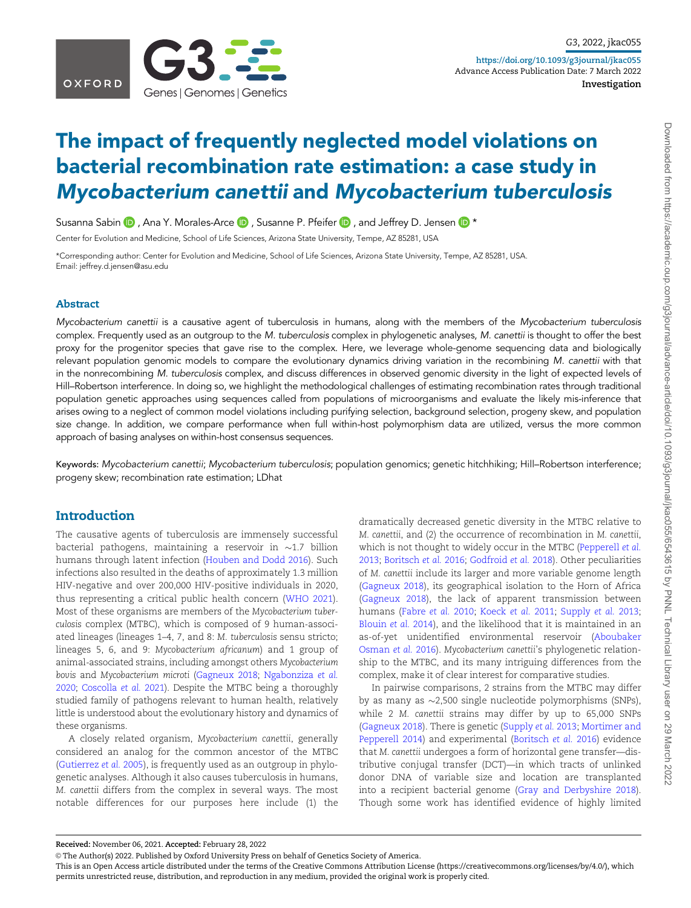

# The impact of frequently neglected model violations on bacterial recombination rate estimation: a case study in Mycobacterium canettii and Mycobacterium tuberculosis

Susanna Sabin  $\bigcirc$ , Ana Y. Morales-Arce  $\bigcirc$ , Susanne P. Pfeifer  $\bigcirc$ , and Jeffrey D. Jensen  $\bigcirc$  \*

Center for Evolution and Medicine, School of Life Sciences, Arizona State University, Tempe, AZ 85281, USA

\*Corresponding author: Center for Evolution and Medicine, School of Life Sciences, Arizona State University, Tempe, AZ 85281, USA. Email: jeffrey.d.jensen@asu.edu

#### Abstract

Mycobacterium canettii is a causative agent of tuberculosis in humans, along with the members of the Mycobacterium tuberculosis complex. Frequently used as an outgroup to the M. tuberculosis complex in phylogenetic analyses, M. canettii is thought to offer the best proxy for the progenitor species that gave rise to the complex. Here, we leverage whole-genome sequencing data and biologically relevant population genomic models to compare the evolutionary dynamics driving variation in the recombining M. canettii with that in the nonrecombining M. tuberculosis complex, and discuss differences in observed genomic diversity in the light of expected levels of Hill–Robertson interference. In doing so, we highlight the methodological challenges of estimating recombination rates through traditional population genetic approaches using sequences called from populations of microorganisms and evaluate the likely mis-inference that arises owing to a neglect of common model violations including purifying selection, background selection, progeny skew, and population size change. In addition, we compare performance when full within-host polymorphism data are utilized, versus the more common approach of basing analyses on within-host consensus sequences.

Keywords: Mycobacterium canettii; Mycobacterium tuberculosis; population genomics; genetic hitchhiking; Hill–Robertson interference; progeny skew; recombination rate estimation; LDhat

#### Introduction

The causative agents of tuberculosis are immensely successful bacterial pathogens, maintaining a reservoir in  ${\sim}1.7$  billion humans through latent infection [\(Houben and Dodd 2016\)](#page-9-0). Such infections also resulted in the deaths of approximately 1.3 million HIV-negative and over 200,000 HIV-positive individuals in 2020, thus representing a critical public health concern [\(WHO 2021\)](#page-10-0). Most of these organisms are members of the Mycobacterium tuberculosis complex (MTBC), which is composed of 9 human-associated lineages (lineages 1–4, 7, and 8: M. tuberculosis sensu stricto; lineages 5, 6, and 9: Mycobacterium africanum) and 1 group of animal-associated strains, including amongst others Mycobacterium bovis and Mycobacterium microti [\(Gagneux 2018;](#page-8-0) [Ngabonziza](#page-9-0) et al. [2020](#page-9-0); [Coscolla](#page-8-0) et al. 2021). Despite the MTBC being a thoroughly studied family of pathogens relevant to human health, relatively little is understood about the evolutionary history and dynamics of these organisms.

A closely related organism, Mycobacterium canettii, generally considered an analog for the common ancestor of the MTBC ([Gutierrez](#page-9-0) et al. 2005), is frequently used as an outgroup in phylogenetic analyses. Although it also causes tuberculosis in humans, M. canettii differs from the complex in several ways. The most notable differences for our purposes here include (1) the

dramatically decreased genetic diversity in the MTBC relative to M. canettii, and (2) the occurrence of recombination in M. canettii, which is not thought to widely occur in the MTBC ([Pepperell](#page-9-0) et al. [2013;](#page-9-0) [Boritsch](#page-8-0) et al. 2016; [Godfroid](#page-8-0) et al. 2018). Other peculiarities of M. canettii include its larger and more variable genome length ([Gagneux 2018](#page-8-0)), its geographical isolation to the Horn of Africa ([Gagneux 2018](#page-8-0)), the lack of apparent transmission between humans [\(Fabre](#page-8-0) et al. 2010; [Koeck](#page-9-0) et al. 2011; [Supply](#page-10-0) et al. 2013; [Blouin](#page-8-0) et al. 2014), and the likelihood that it is maintained in an as-of-yet unidentified environmental reservoir [\(Aboubaker](#page-7-0) [Osman](#page-7-0) et al. 2016). Mycobacterium canettii's phylogenetic relationship to the MTBC, and its many intriguing differences from the complex, make it of clear interest for comparative studies.

In pairwise comparisons, 2 strains from the MTBC may differ by as many as ~2,500 single nucleotide polymorphisms (SNPs), while 2 M. canettii strains may differ by up to 65,000 SNPs ([Gagneux 2018](#page-8-0)). There is genetic ([Supply](#page-10-0) et al. 2013; [Mortimer and](#page-9-0) [Pepperell 2014](#page-9-0)) and experimental ([Boritsch](#page-8-0) et al. 2016) evidence that M. canettii undergoes a form of horizontal gene transfer—distributive conjugal transfer (DCT)—in which tracts of unlinked donor DNA of variable size and location are transplanted into a recipient bacterial genome [\(Gray and Derbyshire 2018](#page-8-0)). Though some work has identified evidence of highly limited

Received: November 06, 2021. Accepted: February 28, 2022

V<sup>C</sup> The Author(s) 2022. Published by Oxford University Press on behalf of Genetics Society of America.

This is an Open Access article distributed under the terms of the Creative Commons Attribution License (https://creativecommons.org/licenses/by/4.0/), which permits unrestricted reuse, distribution, and reproduction in any medium, provided the original work is properly cited.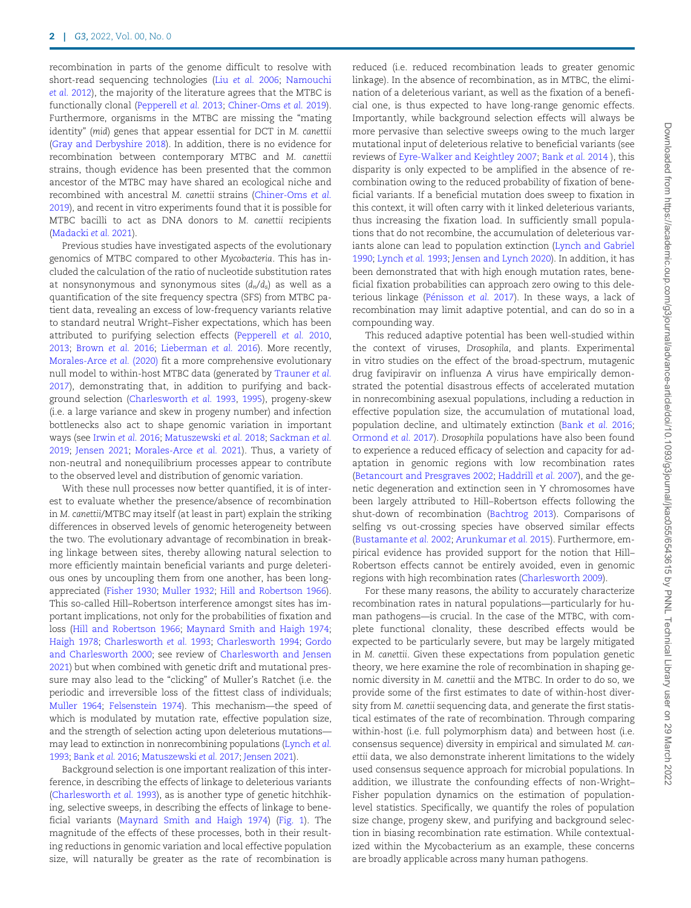recombination in parts of the genome difficult to resolve with short-read sequencing technologies (Liu [et al.](#page-9-0) 2006; [Namouchi](#page-9-0) et al. [2012\)](#page-9-0), the majority of the literature agrees that the MTBC is functionally clonal [\(Pepperell](#page-9-0) et al. 2013; [Chiner-Oms](#page-8-0) et al. 2019). Furthermore, organisms in the MTBC are missing the "mating identity" (mid) genes that appear essential for DCT in M. canettii ([Gray and Derbyshire 2018\)](#page-8-0). In addition, there is no evidence for recombination between contemporary MTBC and M. canettii strains, though evidence has been presented that the common ancestor of the MTBC may have shared an ecological niche and recombined with ancestral M. canettii strains ([Chiner-Oms](#page-8-0) et al. [2019\)](#page-8-0), and recent in vitro experiments found that it is possible for MTBC bacilli to act as DNA donors to M. canettii recipients ([Madacki](#page-9-0) et al. 2021).

Previous studies have investigated aspects of the evolutionary genomics of MTBC compared to other Mycobacteria. This has included the calculation of the ratio of nucleotide substitution rates at nonsynonymous and synonymous sites  $(d_n/d_s)$  as well as a quantification of the site frequency spectra (SFS) from MTBC patient data, revealing an excess of low-frequency variants relative to standard neutral Wright–Fisher expectations, which has been attributed to purifying selection effects [\(Pepperell](#page-9-0) et al. 2010, [2013;](#page-9-0) [Brown](#page-8-0) et al. 2016; [Lieberman](#page-9-0) et al. 2016). More recently, [Morales-Arce](#page-9-0) [et al.](#page-9-0) [\(2020\)](#page-9-0) fit a more comprehensive evolutionary null model to within-host MTBC data (generated by [Trauner](#page-10-0) et al. [2017\)](#page-10-0), demonstrating that, in addition to purifying and background selection [\(Charlesworth](#page-8-0) et al. 1993, [1995](#page-8-0)), progeny-skew (i.e. a large variance and skew in progeny number) and infection bottlenecks also act to shape genomic variation in important ways (see [Irwin](#page-9-0) et al. 2016; [Matuszewski](#page-9-0) et al. 2018; [Sackman](#page-10-0) et al. [2019;](#page-10-0) [Jensen 2021;](#page-9-0) [Morales-Arce](#page-9-0) et al. 2021). Thus, a variety of non-neutral and nonequilibrium processes appear to contribute to the observed level and distribution of genomic variation.

With these null processes now better quantified, it is of interest to evaluate whether the presence/absence of recombination in M. canettii/MTBC may itself (at least in part) explain the striking differences in observed levels of genomic heterogeneity between the two. The evolutionary advantage of recombination in breaking linkage between sites, thereby allowing natural selection to more efficiently maintain beneficial variants and purge deleterious ones by uncoupling them from one another, has been longappreciated ([Fisher 1930;](#page-8-0) [Muller 1932;](#page-9-0) [Hill and Robertson 1966](#page-9-0)). This so-called Hill–Robertson interference amongst sites has important implications, not only for the probabilities of fixation and loss ([Hill and Robertson 1966](#page-9-0); [Maynard Smith and Haigh 1974;](#page-9-0) [Haigh 1978;](#page-9-0) [Charlesworth](#page-8-0) et al. 1993; [Charlesworth 1994](#page-8-0); [Gordo](#page-8-0) [and Charlesworth 2000](#page-8-0); see review of [Charlesworth and Jensen](#page-8-0) [2021\)](#page-8-0) but when combined with genetic drift and mutational pressure may also lead to the "clicking" of Muller's Ratchet (i.e. the periodic and irreversible loss of the fittest class of individuals; [Muller 1964;](#page-9-0) [Felsenstein 1974\)](#page-8-0). This mechanism—the speed of which is modulated by mutation rate, effective population size, and the strength of selection acting upon deleterious mutations may lead to extinction in nonrecombining populations ([Lynch](#page-9-0) et al. [1993](#page-9-0); Bank et al. 2016; [Matuszewski](#page-9-0) et al. 2017; [Jensen 2021\)](#page-9-0).

Background selection is one important realization of this interference, in describing the effects of linkage to deleterious variants ([Charlesworth](#page-8-0) et al. 1993), as is another type of genetic hitchhiking, selective sweeps, in describing the effects of linkage to beneficial variants [\(Maynard Smith and Haigh 1974\)](#page-9-0) [\(Fig. 1](#page-2-0)). The magnitude of the effects of these processes, both in their resulting reductions in genomic variation and local effective population size, will naturally be greater as the rate of recombination is

reduced (i.e. reduced recombination leads to greater genomic linkage). In the absence of recombination, as in MTBC, the elimination of a deleterious variant, as well as the fixation of a beneficial one, is thus expected to have long-range genomic effects. Importantly, while background selection effects will always be more pervasive than selective sweeps owing to the much larger mutational input of deleterious relative to beneficial variants (see reviews of [Eyre-Walker and Keightley 2007;](#page-8-0) [Bank](#page-8-0) et al. 2014 ), this disparity is only expected to be amplified in the absence of recombination owing to the reduced probability of fixation of beneficial variants. If a beneficial mutation does sweep to fixation in this context, it will often carry with it linked deleterious variants, thus increasing the fixation load. In sufficiently small populations that do not recombine, the accumulation of deleterious variants alone can lead to population extinction [\(Lynch and Gabriel](#page-9-0) [1990](#page-9-0); [Lynch](#page-9-0) et al. 1993; [Jensen and Lynch 2020\)](#page-9-0). In addition, it has been demonstrated that with high enough mutation rates, beneficial fixation probabilities can approach zero owing to this deleterious linkage (Pénisson et al. 2017). In these ways, a lack of recombination may limit adaptive potential, and can do so in a compounding way.

This reduced adaptive potential has been well-studied within the context of viruses, Drosophila, and plants. Experimental in vitro studies on the effect of the broad-spectrum, mutagenic drug favipiravir on influenza A virus have empirically demonstrated the potential disastrous effects of accelerated mutation in nonrecombining asexual populations, including a reduction in effective population size, the accumulation of mutational load, population decline, and ultimately extinction (Bank et al. 2016; [Ormond](#page-9-0) et al. 2017). Drosophila populations have also been found to experience a reduced efficacy of selection and capacity for adaptation in genomic regions with low recombination rates [\(Betancourt and Presgraves 2002](#page-8-0); [Haddrill](#page-9-0) et al. 2007), and the genetic degeneration and extinction seen in Y chromosomes have been largely attributed to Hill–Robertson effects following the shut-down of recombination [\(Bachtrog 2013](#page-8-0)). Comparisons of selfing vs out-crossing species have observed similar effects [\(Bustamante](#page-8-0) et al. 2002; [Arunkumar](#page-8-0) et al. 2015). Furthermore, empirical evidence has provided support for the notion that Hill– Robertson effects cannot be entirely avoided, even in genomic regions with high recombination rates ([Charlesworth 2009](#page-8-0)).

For these many reasons, the ability to accurately characterize recombination rates in natural populations—particularly for human pathogens—is crucial. In the case of the MTBC, with complete functional clonality, these described effects would be expected to be particularly severe, but may be largely mitigated in M. canettii. Given these expectations from population genetic theory, we here examine the role of recombination in shaping genomic diversity in M. canettii and the MTBC. In order to do so, we provide some of the first estimates to date of within-host diversity from M. canettii sequencing data, and generate the first statistical estimates of the rate of recombination. Through comparing within-host (i.e. full polymorphism data) and between host (i.e. consensus sequence) diversity in empirical and simulated M. canettii data, we also demonstrate inherent limitations to the widely used consensus sequence approach for microbial populations. In addition, we illustrate the confounding effects of non-Wright– Fisher population dynamics on the estimation of populationlevel statistics. Specifically, we quantify the roles of population size change, progeny skew, and purifying and background selection in biasing recombination rate estimation. While contextualized within the Mycobacterium as an example, these concerns are broadly applicable across many human pathogens.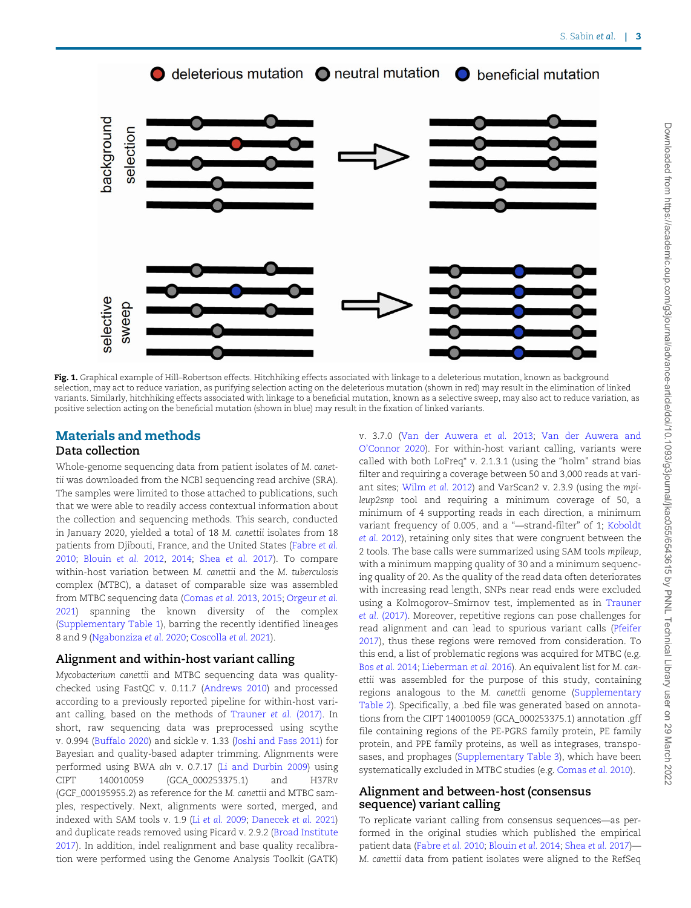<span id="page-2-0"></span>

Fig. 1. Graphical example of Hill-Robertson effects. Hitchhiking effects associated with linkage to a deleterious mutation, known as background selection, may act to reduce variation, as purifying selection acting on the deleterious mutation (shown in red) may result in the elimination of linked variants. Similarly, hitchhiking effects associated with linkage to a beneficial mutation, known as a selective sweep, may also act to reduce variation, as positive selection acting on the beneficial mutation (shown in blue) may result in the fixation of linked variants.

## Materials and methods

### Data collection

Whole-genome sequencing data from patient isolates of M. canettii was downloaded from the NCBI sequencing read archive (SRA). The samples were limited to those attached to publications, such that we were able to readily access contextual information about the collection and sequencing methods. This search, conducted in January 2020, yielded a total of 18 M. canettii isolates from 18 patients from Djibouti, France, and the United States ([Fabre](#page-8-0) et al. [2010](#page-8-0); [Blouin](#page-8-0) et al. 2012, [2014](#page-8-0); Shea [et al.](#page-10-0) 2017). To compare within-host variation between M. canettii and the M. tuberculosis complex (MTBC), a dataset of comparable size was assembled from MTBC sequencing data [\(Comas](#page-8-0) et al. 2013, [2015](#page-8-0); [Orgeur](#page-9-0) et al. [2021](#page-9-0)) spanning the known diversity of the complex ([Supplementary Table 1](academic.oup.com/g3journal/article-lookup/doi/10.1093/g3journal/jkac055#supplementary-data)), barring the recently identified lineages 8 and 9 [\(Ngabonziza](#page-9-0) et al. 2020; [Coscolla](#page-8-0) et al. 2021).

#### Alignment and within-host variant calling

Mycobacterium canettii and MTBC sequencing data was qualitychecked using FastQC v. 0.11.7 ([Andrews 2010\)](#page-7-0) and processed according to a previously reported pipeline for within-host variant calling, based on the methods of [Trauner](#page-10-0) et al. (2017). In short, raw sequencing data was preprocessed using scythe v. 0.994 ([Buffalo 2020](#page-8-0)) and sickle v. 1.33 ([Joshi and Fass 2011\)](#page-9-0) for Bayesian and quality-based adapter trimming. Alignments were performed using BWA aln v. 0.7.17 ([Li and Durbin 2009\)](#page-9-0) using CIPT 140010059 (GCA\_000253375.1) and H37Rv (GCF\_000195955.2) as reference for the M. canettii and MTBC samples, respectively. Next, alignments were sorted, merged, and indexed with SAM tools v. 1.9 (Li et al. [2009](#page-9-0); [Danecek](#page-8-0) et al. 2021) and duplicate reads removed using Picard v. 2.9.2 ([Broad Institute](#page-8-0) [2017](#page-8-0)). In addition, indel realignment and base quality recalibration were performed using the Genome Analysis Toolkit (GATK)

v. 3.7.0 ([Van der Auwera](#page-10-0) et al. 2013; [Van der Auwera and](#page-10-0) [O'Connor 2020](#page-10-0)). For within-host variant calling, variants were called with both LoFreq\* v. 2.1.3.1 (using the "holm" strand bias filter and requiring a coverage between 50 and 3,000 reads at variant sites; [Wilm](#page-10-0) et al. 2012) and VarScan2 v. 2.3.9 (using the mpileup2snp tool and requiring a minimum coverage of 50, a minimum of 4 supporting reads in each direction, a minimum variant frequency of 0.005, and a "—strand-filter" of 1; [Koboldt](#page-9-0) et al. [2012\)](#page-9-0), retaining only sites that were congruent between the 2 tools. The base calls were summarized using SAM tools mpileup, with a minimum mapping quality of 30 and a minimum sequencing quality of 20. As the quality of the read data often deteriorates with increasing read length, SNPs near read ends were excluded using a Kolmogorov–Smirnov test, implemented as in [Trauner](#page-10-0) et al[. \(2017\)](#page-10-0). Moreover, repetitive regions can pose challenges for read alignment and can lead to spurious variant calls ([Pfeifer](#page-9-0) [2017\)](#page-9-0), thus these regions were removed from consideration. To this end, a list of problematic regions was acquired for MTBC (e.g. Bos et al. [2014;](#page-8-0) [Lieberman](#page-9-0) et al. 2016). An equivalent list for M. canettii was assembled for the purpose of this study, containing regions analogous to the M. canettii genome [\(Supplementary](academic.oup.com/g3journal/article-lookup/doi/10.1093/g3journal/jkac055#supplementary-data) [Table 2](academic.oup.com/g3journal/article-lookup/doi/10.1093/g3journal/jkac055#supplementary-data)). Specifically, a .bed file was generated based on annotations from the CIPT 140010059 (GCA\_000253375.1) annotation .gff file containing regions of the PE-PGRS family protein, PE family protein, and PPE family proteins, as well as integrases, transposases, and prophages [\(Supplementary Table 3\)](academic.oup.com/g3journal/article-lookup/doi/10.1093/g3journal/jkac055#supplementary-data), which have been systematically excluded in MTBC studies (e.g. [Comas](#page-8-0) et al. 2010).

#### Alignment and between-host (consensus sequence) variant calling

To replicate variant calling from consensus sequences—as performed in the original studies which published the empirical patient data [\(Fabre](#page-8-0) et al. 2010; [Blouin](#page-8-0) et al. 2014; [Shea](#page-10-0) et al. 2017)— M. canettii data from patient isolates were aligned to the RefSeq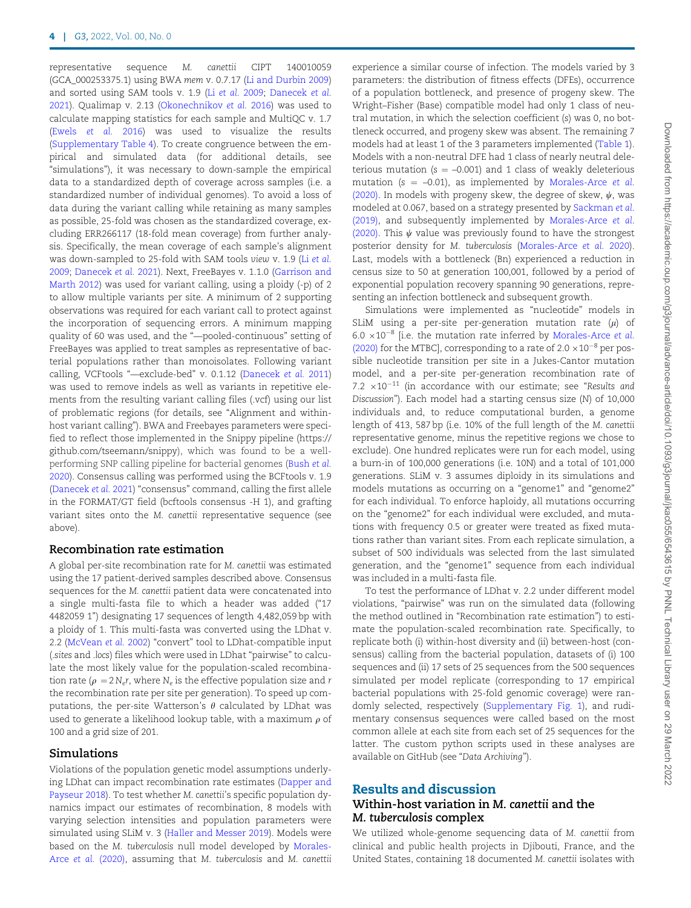representative sequence M. canettii CIPT 140010059 (GCA\_000253375.1) using BWA mem v. 0.7.17 [\(Li and Durbin 2009](#page-9-0)) and sorted using SAM tools v. 1.9 (Li [et al.](#page-9-0) 2009; [Danecek](#page-8-0) et al. [2021\)](#page-8-0). Qualimap v. 2.13 [\(Okonechnikov](#page-9-0) et al. 2016) was used to calculate mapping statistics for each sample and MultiQC v. 1.7 (Ewels [et al.](#page-8-0) 2016) was used to visualize the results ([Supplementary Table 4](academic.oup.com/g3journal/article-lookup/doi/10.1093/g3journal/jkac055#supplementary-data)). To create congruence between the empirical and simulated data (for additional details, see "simulations"), it was necessary to down-sample the empirical data to a standardized depth of coverage across samples (i.e. a standardized number of individual genomes). To avoid a loss of data during the variant calling while retaining as many samples as possible, 25-fold was chosen as the standardized coverage, excluding ERR266117 (18-fold mean coverage) from further analysis. Specifically, the mean coverage of each sample's alignment was down-sampled to 25-fold with SAM tools view v. 1.9 (Li [et al.](#page-9-0) [2009;](#page-9-0) [Danecek](#page-8-0) et al. 2021). Next, FreeBayes v. 1.1.0 ([Garrison and](#page-8-0) [Marth 2012](#page-8-0)) was used for variant calling, using a ploidy (-p) of 2 to allow multiple variants per site. A minimum of 2 supporting observations was required for each variant call to protect against the incorporation of sequencing errors. A minimum mapping quality of 60 was used, and the "—pooled-continuous" setting of FreeBayes was applied to treat samples as representative of bacterial populations rather than monoisolates. Following variant calling, VCFtools "—exclude-bed" v. 0.1.12 [\(Danecek](#page-8-0) et al. 2011) was used to remove indels as well as variants in repetitive elements from the resulting variant calling files (.vcf) using our list of problematic regions (for details, see "Alignment and withinhost variant calling"). BWA and Freebayes parameters were specified to reflect those implemented in the Snippy pipeline [\(https://](https://github.com/tseemann/snippy) [github.com/tseemann/snippy\)](https://github.com/tseemann/snippy), which was found to be a wellperforming SNP calling pipeline for bacterial genomes [\(Bush](#page-8-0) et al. [2020\)](#page-8-0). Consensus calling was performed using the BCFtools v. 1.9 ([Danecek](#page-8-0) et al. 2021) "consensus" command, calling the first allele in the FORMAT/GT field (bcftools consensus -H 1), and grafting variant sites onto the M. canettii representative sequence (see above).

#### Recombination rate estimation

A global per-site recombination rate for M. canettii was estimated using the 17 patient-derived samples described above. Consensus sequences for the M. canettii patient data were concatenated into a single multi-fasta file to which a header was added ("17 4482059 1") designating 17 sequences of length 4,482,059 bp with a ploidy of 1. This multi-fasta was converted using the LDhat v. 2.2 [\(McVean](#page-9-0) et al. 2002) "convert" tool to LDhat-compatible input (.sites and .locs) files which were used in LDhat "pairwise" to calculate the most likely value for the population-scaled recombination rate ( $\rho = 2 N_e r$ , where  $N_e$  is the effective population size and r the recombination rate per site per generation). To speed up computations, the per-site Watterson's  $\theta$  calculated by LDhat was used to generate a likelihood lookup table, with a maximum  $\rho$  of 100 and a grid size of 201.

#### Simulations

Violations of the population genetic model assumptions underlying LDhat can impact recombination rate estimates ([Dapper and](#page-8-0) [Payseur 2018\)](#page-8-0). To test whether M. canettii's specific population dynamics impact our estimates of recombination, 8 models with varying selection intensities and population parameters were simulated using SLiM v. 3 ([Haller and Messer 2019\)](#page-9-0). Models were based on the M. tuberculosis null model developed by [Morales-](#page-9-0)[Arce](#page-9-0) [et al.](#page-9-0) [\(2020\),](#page-9-0) assuming that M. tuberculosis and M. canettii experience a similar course of infection. The models varied by 3 parameters: the distribution of fitness effects (DFEs), occurrence of a population bottleneck, and presence of progeny skew. The Wright–Fisher (Base) compatible model had only 1 class of neutral mutation, in which the selection coefficient (s) was 0, no bottleneck occurred, and progeny skew was absent. The remaining 7 models had at least 1 of the 3 parameters implemented [\(Table 1](#page-4-0)). Models with a non-neutral DFE had 1 class of nearly neutral deleterious mutation ( $s = -0.001$ ) and 1 class of weakly deleterious mutation ( $s = -0.01$ ), as implemented by [Morales-Arce](#page-9-0) et al. [\(2020\).](#page-9-0) In models with progeny skew, the degree of skew,  $\psi$ , was modeled at 0.067, based on a strategy presented by [Sackman](#page-10-0) et al. [\(2019\),](#page-10-0) and subsequently implemented by [Morales-Arce](#page-9-0) et al. [\(2020\).](#page-9-0) This  $\psi$  value was previously found to have the strongest posterior density for M. tuberculosis [\(Morales-Arce](#page-9-0) et al. 2020). Last, models with a bottleneck (Bn) experienced a reduction in census size to 50 at generation 100,001, followed by a period of exponential population recovery spanning 90 generations, representing an infection bottleneck and subsequent growth.

Simulations were implemented as "nucleotide" models in SLiM using a per-site per-generation mutation rate  $(\mu)$  of  $6.0 \times 10^{-8}$  [i.e. the mutation rate inferred by [Morales-Arce](#page-9-0) et al. [\(2020\)](#page-9-0) for the MTBC], corresponding to a rate of  $2.0 \times 10^{-8}$  per possible nucleotide transition per site in a Jukes-Cantor mutation model, and a per-site per-generation recombination rate of 7.2  $\times 10^{-11}$  (in accordance with our estimate; see "Results and Discussion"). Each model had a starting census size (N) of 10,000 individuals and, to reduce computational burden, a genome length of 413, 587 bp (i.e. 10% of the full length of the M. canettii representative genome, minus the repetitive regions we chose to exclude). One hundred replicates were run for each model, using a burn-in of 100,000 generations (i.e. 10N) and a total of 101,000 generations. SLiM v. 3 assumes diploidy in its simulations and models mutations as occurring on a "genome1" and "genome2" for each individual. To enforce haploidy, all mutations occurring on the "genome2" for each individual were excluded, and mutations with frequency 0.5 or greater were treated as fixed mutations rather than variant sites. From each replicate simulation, a subset of 500 individuals was selected from the last simulated generation, and the "genome1" sequence from each individual was included in a multi-fasta file.

To test the performance of LDhat v. 2.2 under different model violations, "pairwise" was run on the simulated data (following the method outlined in "Recombination rate estimation") to estimate the population-scaled recombination rate. Specifically, to replicate both (i) within-host diversity and (ii) between-host (consensus) calling from the bacterial population, datasets of (i) 100 sequences and (ii) 17 sets of 25 sequences from the 500 sequences simulated per model replicate (corresponding to 17 empirical bacterial populations with 25-fold genomic coverage) were randomly selected, respectively [\(Supplementary Fig. 1\)](academic.oup.com/g3journal/article-lookup/doi/10.1093/g3journal/jkac055#supplementary-data), and rudimentary consensus sequences were called based on the most common allele at each site from each set of 25 sequences for the latter. The custom python scripts used in these analyses are available on GitHub (see "Data Archiving").

#### Results and discussion

#### Within-host variation in M. canettii and the M. tuberculosis complex

We utilized whole-genome sequencing data of M. canettii from clinical and public health projects in Djibouti, France, and the United States, containing 18 documented M. canettii isolates with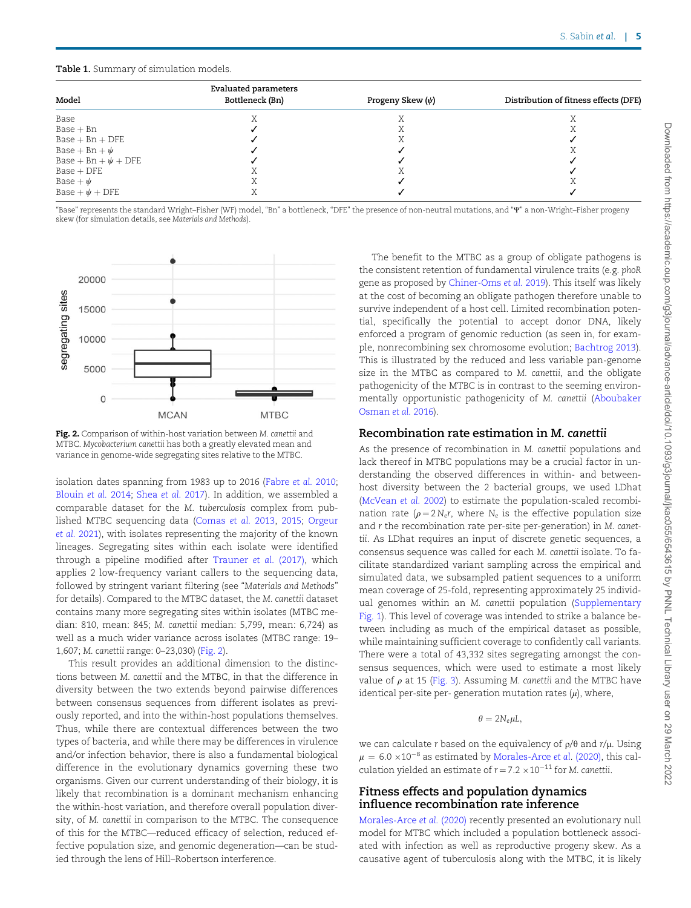#### <span id="page-4-0"></span>Table 1. Summary of simulation models.

|                          | <b>Evaluated parameters</b> |                       |                                       |
|--------------------------|-----------------------------|-----------------------|---------------------------------------|
| Model                    | Bottleneck (Bn)             | Progeny Skew $(\psi)$ | Distribution of fitness effects (DFE) |
| Base                     |                             |                       |                                       |
| $Base + Bn$              |                             |                       |                                       |
| $Base + Bn + DFE$        |                             |                       |                                       |
| Base + Bn + $\psi$       |                             |                       |                                       |
| Base + Bn + $\psi$ + DFE |                             |                       |                                       |
| $Base + DFE$             |                             |                       |                                       |
| Base + $\psi$            |                             |                       |                                       |
| Base + $\psi$ + DFE      |                             |                       |                                       |

"Base" represents the standard Wright–Fisher (WF) model, "Bn" a bottleneck, "DFE" the presence of non-neutral mutations, and "W" a non-Wright–Fisher progeny skew (for simulation details, see Materials and Methods).



Fig. 2. Comparison of within-host variation between M. canettii and MTBC. Mycobacterium canettii has both a greatly elevated mean and variance in genome-wide segregating sites relative to the MTBC.

isolation dates spanning from 1983 up to 2016 ([Fabre](#page-8-0) et al. 2010; [Blouin](#page-8-0) et al. 2014; [Shea](#page-10-0) et al. 2017). In addition, we assembled a comparable dataset for the M. tuberculosis complex from published MTBC sequencing data ([Comas](#page-8-0) et al. 2013, [2015;](#page-8-0) [Orgeur](#page-9-0) et al. [2021\)](#page-9-0), with isolates representing the majority of the known lineages. Segregating sites within each isolate were identified through a pipeline modified after [Trauner](#page-10-0) et al. (2017), which applies 2 low-frequency variant callers to the sequencing data, followed by stringent variant filtering (see "Materials and Methods" for details). Compared to the MTBC dataset, the M. canettii dataset contains many more segregating sites within isolates (MTBC median: 810, mean: 845; M. canettii median: 5,799, mean: 6,724) as well as a much wider variance across isolates (MTBC range: 19– 1,607; M. canettii range: 0–23,030) (Fig. 2).

This result provides an additional dimension to the distinctions between M. canettii and the MTBC, in that the difference in diversity between the two extends beyond pairwise differences between consensus sequences from different isolates as previously reported, and into the within-host populations themselves. Thus, while there are contextual differences between the two types of bacteria, and while there may be differences in virulence and/or infection behavior, there is also a fundamental biological difference in the evolutionary dynamics governing these two organisms. Given our current understanding of their biology, it is likely that recombination is a dominant mechanism enhancing the within-host variation, and therefore overall population diversity, of M. canettii in comparison to the MTBC. The consequence of this for the MTBC—reduced efficacy of selection, reduced effective population size, and genomic degeneration—can be studied through the lens of Hill–Robertson interference.

The benefit to the MTBC as a group of obligate pathogens is the consistent retention of fundamental virulence traits (e.g. phoR gene as proposed by [Chiner-Oms](#page-8-0) et al. 2019). This itself was likely at the cost of becoming an obligate pathogen therefore unable to survive independent of a host cell. Limited recombination potential, specifically the potential to accept donor DNA, likely enforced a program of genomic reduction (as seen in, for example, nonrecombining sex chromosome evolution; [Bachtrog 2013](#page-8-0)). This is illustrated by the reduced and less variable pan-genome size in the MTBC as compared to M. canettii, and the obligate pathogenicity of the MTBC is in contrast to the seeming environmentally opportunistic pathogenicity of M. canettii [\(Aboubaker](#page-7-0) [Osman](#page-7-0) et al. 2016).

#### Recombination rate estimation in M. canettii

As the presence of recombination in M. canettii populations and lack thereof in MTBC populations may be a crucial factor in understanding the observed differences in within- and betweenhost diversity between the 2 bacterial groups, we used LDhat ([McVean](#page-9-0) et al. 2002) to estimate the population-scaled recombination rate ( $\rho = 2 N_e r$ , where N<sub>e</sub> is the effective population size and r the recombination rate per-site per-generation) in M. canettii. As LDhat requires an input of discrete genetic sequences, a consensus sequence was called for each M. canettii isolate. To facilitate standardized variant sampling across the empirical and simulated data, we subsampled patient sequences to a uniform mean coverage of 25-fold, representing approximately 25 individual genomes within an M. canettii population [\(Supplementary](academic.oup.com/g3journal/article-lookup/doi/10.1093/g3journal/jkac055#supplementary-data) [Fig. 1\)](academic.oup.com/g3journal/article-lookup/doi/10.1093/g3journal/jkac055#supplementary-data). This level of coverage was intended to strike a balance between including as much of the empirical dataset as possible, while maintaining sufficient coverage to confidently call variants. There were a total of 43,332 sites segregating amongst the consensus sequences, which were used to estimate a most likely value of  $\rho$  at 15 ([Fig. 3\)](#page-5-0). Assuming M. canettii and the MTBC have identical per-site per- generation mutation rates  $(\mu)$ , where,

 $\theta = 2N_e \mu L$ ,

we can calculate r based on the equivalency of  $\rho/\theta$  and  $r/\mu$ . Using  $\mu = 6.0 \times 10^{-8}$  as estimated by [Morales-Arce](#page-9-0) *et al.* [\(2020\)](#page-9-0), this calculation yielded an estimate of  $r = 7.2 \times 10^{-11}$  for M. canettii.

#### Fitness effects and population dynamics influence recombination rate inference

[Morales-Arce](#page-9-0) et al. [\(2020\)](#page-9-0) recently presented an evolutionary null model for MTBC which included a population bottleneck associated with infection as well as reproductive progeny skew. As a causative agent of tuberculosis along with the MTBC, it is likely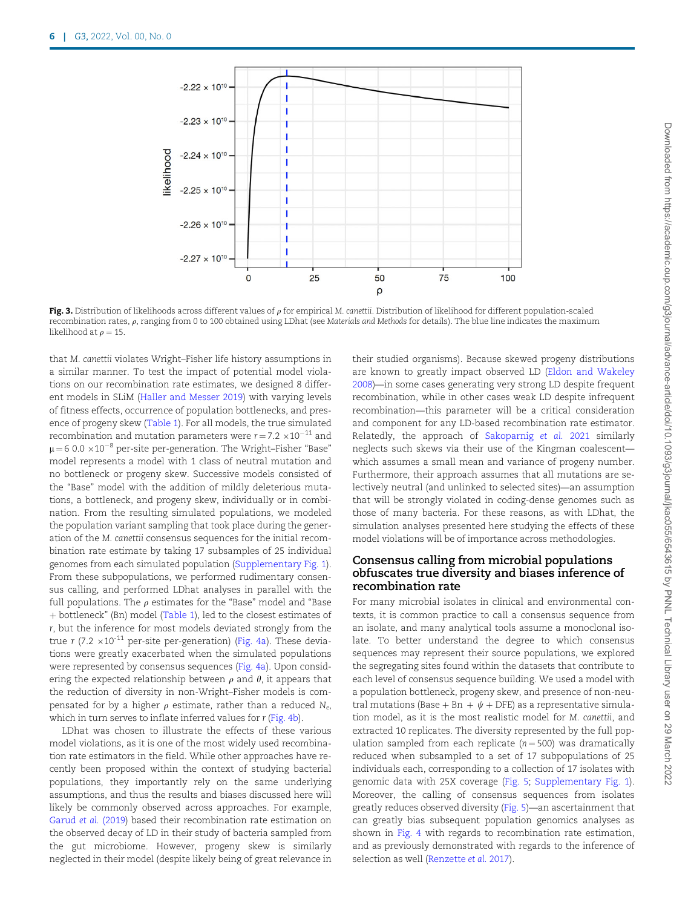<span id="page-5-0"></span>

Fig. 3. Distribution of likelihoods across different values of  $\rho$  for empirical M. canettii. Distribution of likelihood for different population-scaled recombination rates,  $\rho$ , ranging from 0 to 100 obtained using LDhat (see Materials and Methods for details). The blue line indicates the maximum likelihood at  $\rho = 15$ .

that M. canettii violates Wright–Fisher life history assumptions in a similar manner. To test the impact of potential model violations on our recombination rate estimates, we designed 8 different models in SLiM ([Haller and Messer 2019](#page-9-0)) with varying levels of fitness effects, occurrence of population bottlenecks, and presence of progeny skew [\(Table 1\)](#page-4-0). For all models, the true simulated recombination and mutation parameters were  $r = 7.2 \times 10^{-11}$  and  $\mu$  = 6 0.0  $\times$  10<sup>-8</sup> per-site per-generation. The Wright–Fisher "Base" model represents a model with 1 class of neutral mutation and no bottleneck or progeny skew. Successive models consisted of the "Base" model with the addition of mildly deleterious mutations, a bottleneck, and progeny skew, individually or in combination. From the resulting simulated populations, we modeled the population variant sampling that took place during the generation of the M. canettii consensus sequences for the initial recombination rate estimate by taking 17 subsamples of 25 individual genomes from each simulated population ([Supplementary Fig. 1](academic.oup.com/g3journal/article-lookup/doi/10.1093/g3journal/jkac055#supplementary-data)). From these subpopulations, we performed rudimentary consensus calling, and performed LDhat analyses in parallel with the full populations. The  $\rho$  estimates for the "Base" model and "Base" þ bottleneck" (Bn) model [\(Table 1\)](#page-4-0), led to the closest estimates of r, but the inference for most models deviated strongly from the true r (7.2  $\times$ 10<sup>-11</sup> per-site per-generation) ([Fig. 4a\)](#page-6-0). These deviations were greatly exacerbated when the simulated populations were represented by consensus sequences [\(Fig. 4a](#page-6-0)). Upon considering the expected relationship between  $\rho$  and  $\theta$ , it appears that the reduction of diversity in non-Wright–Fisher models is compensated for by a higher  $\rho$  estimate, rather than a reduced N<sub>e</sub>, which in turn serves to inflate inferred values for r [\(Fig. 4b](#page-6-0)).

LDhat was chosen to illustrate the effects of these various model violations, as it is one of the most widely used recombination rate estimators in the field. While other approaches have recently been proposed within the context of studying bacterial populations, they importantly rely on the same underlying assumptions, and thus the results and biases discussed here will likely be commonly observed across approaches. For example, [Garud](#page-8-0) et al. (2019) based their recombination rate estimation on the observed decay of LD in their study of bacteria sampled from the gut microbiome. However, progeny skew is similarly neglected in their model (despite likely being of great relevance in

their studied organisms). Because skewed progeny distributions are known to greatly impact observed LD [\(Eldon and Wakeley](#page-8-0) [2008](#page-8-0))—in some cases generating very strong LD despite frequent recombination, while in other cases weak LD despite infrequent recombination—this parameter will be a critical consideration and component for any LD-based recombination rate estimator. Relatedly, the approach of [Sakoparnig](#page-10-0) et al. 2021 similarly neglects such skews via their use of the Kingman coalescent which assumes a small mean and variance of progeny number. Furthermore, their approach assumes that all mutations are selectively neutral (and unlinked to selected sites)—an assumption that will be strongly violated in coding-dense genomes such as those of many bacteria. For these reasons, as with LDhat, the simulation analyses presented here studying the effects of these model violations will be of importance across methodologies.

#### Consensus calling from microbial populations obfuscates true diversity and biases inference of recombination rate

For many microbial isolates in clinical and environmental contexts, it is common practice to call a consensus sequence from an isolate, and many analytical tools assume a monoclonal isolate. To better understand the degree to which consensus sequences may represent their source populations, we explored the segregating sites found within the datasets that contribute to each level of consensus sequence building. We used a model with a population bottleneck, progeny skew, and presence of non-neutral mutations (Base + Bn +  $\psi$  + DFE) as a representative simulation model, as it is the most realistic model for M. canettii, and extracted 10 replicates. The diversity represented by the full population sampled from each replicate  $(n = 500)$  was dramatically reduced when subsampled to a set of 17 subpopulations of 25 individuals each, corresponding to a collection of 17 isolates with genomic data with 25X coverage [\(Fig. 5;](#page-6-0) [Supplementary Fig. 1](academic.oup.com/g3journal/article-lookup/doi/10.1093/g3journal/jkac055#supplementary-data)). Moreover, the calling of consensus sequences from isolates greatly reduces observed diversity [\(Fig. 5\)](#page-6-0)—an ascertainment that can greatly bias subsequent population genomics analyses as shown in [Fig. 4](#page-6-0) with regards to recombination rate estimation, and as previously demonstrated with regards to the inference of selection as well [\(Renzette](#page-9-0) et al. 2017).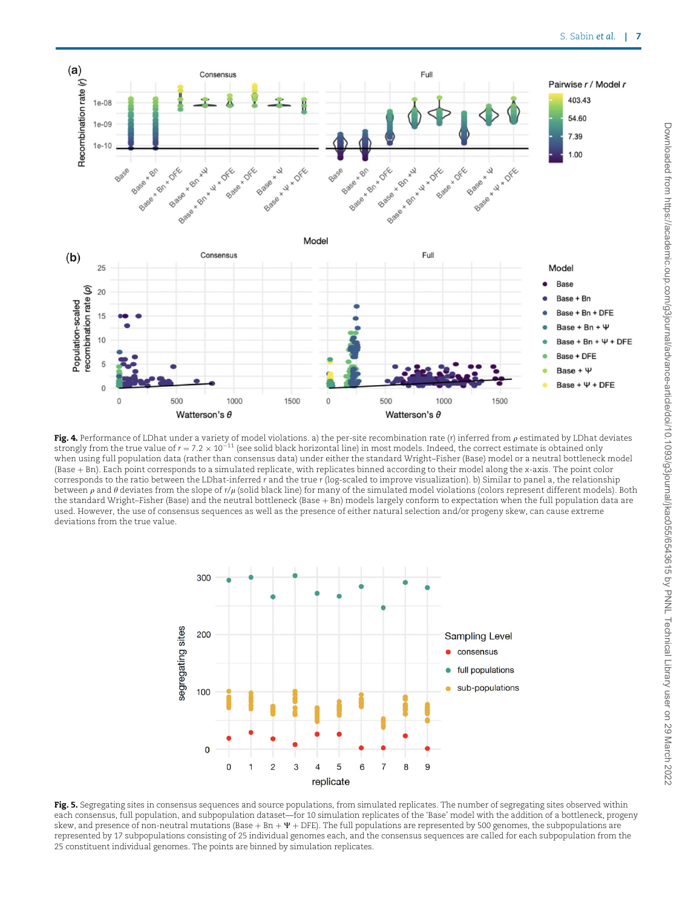<span id="page-6-0"></span>

Fig. 4. Performance of LDhat under a variety of model violations. a) the per-site recombination rate (r) inferred from  $\rho$  estimated by LDhat deviates strongly from the true value of  $r = 7.2 \times 10^{-11}$  (see solid black horizontal line) in most models. Indeed, the correct estimate is obtained only when using full population data (rather than consensus data) under either the standard Wright–Fisher (Base) model or a neutral bottleneck model (Base + Bn). Each point corresponds to a simulated replicate, with replicates binned according to their model along the x-axis. The point color corresponds to the ratio between the LDhat-inferred r and the true r (log-scaled to improve visualization). b) Similar to panel a, the relationship between  $\rho$  and  $\theta$  deviates from the slope of r/ $\mu$  (solid black line) for many of the simulated model violations (colors represent different models). Both the standard Wright–Fisher (Base) and the neutral bottleneck (Base  $+$  Bn) models largely conform to expectation when the full population data are used. However, the use of consensus sequences as well as the presence of either natural selection and/or progeny skew, can cause extreme deviations from the true value.



Fig. 5. Segregating sites in consensus sequences and source populations, from simulated replicates. The number of segregating sites observed within each consensus, full population, and subpopulation dataset—for 10 simulation replicates of the 'Base' model with the addition of a bottleneck, progeny skew, and presence of non-neutral mutations (Base + Bn +  $\Psi$  + DFE). The full populations are represented by 500 genomes, the subpopulations are represented by 17 subpopulations consisting of 25 individual genomes each, and the consensus sequences are called for each subpopulation from the 25 constituent individual genomes. The points are binned by simulation replicates.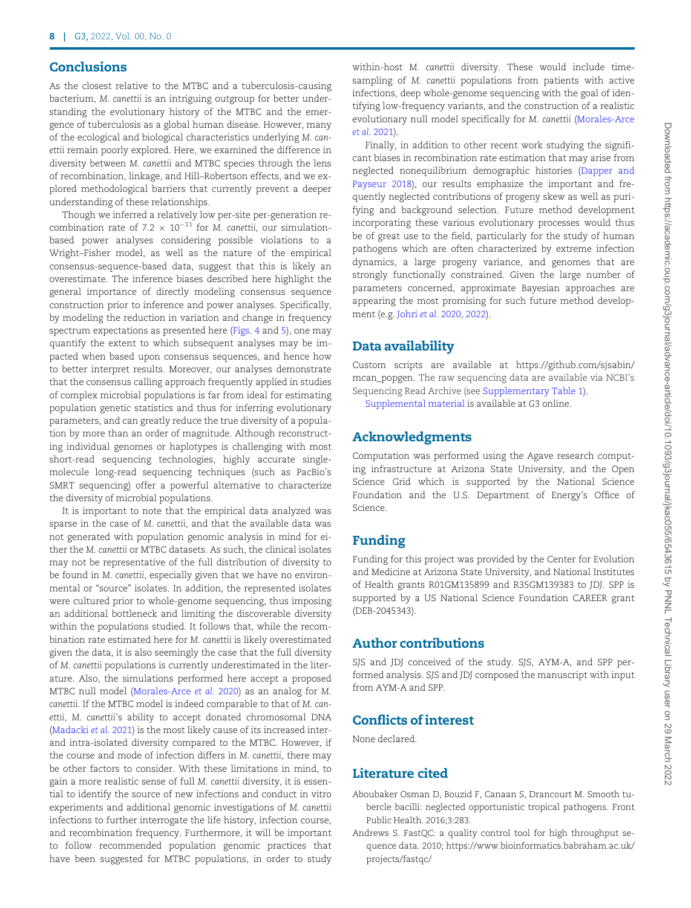## <span id="page-7-0"></span>**Conclusions**

As the closest relative to the MTBC and a tuberculosis-causing bacterium, M. canettii is an intriguing outgroup for better understanding the evolutionary history of the MTBC and the emergence of tuberculosis as a global human disease. However, many of the ecological and biological characteristics underlying M. canettii remain poorly explored. Here, we examined the difference in diversity between M. canettii and MTBC species through the lens of recombination, linkage, and Hill–Robertson effects, and we explored methodological barriers that currently prevent a deeper understanding of these relationships.

Though we inferred a relatively low per-site per-generation recombination rate of 7.2  $\times$  10<sup>-11</sup> for M. canettii, our simulationbased power analyses considering possible violations to a Wright–Fisher model, as well as the nature of the empirical consensus-sequence-based data, suggest that this is likely an overestimate. The inference biases described here highlight the general importance of directly modeling consensus sequence construction prior to inference and power analyses. Specifically, by modeling the reduction in variation and change in frequency spectrum expectations as presented here ([Figs. 4](#page-6-0) and [5\)](#page-6-0), one may quantify the extent to which subsequent analyses may be impacted when based upon consensus sequences, and hence how to better interpret results. Moreover, our analyses demonstrate that the consensus calling approach frequently applied in studies of complex microbial populations is far from ideal for estimating population genetic statistics and thus for inferring evolutionary parameters, and can greatly reduce the true diversity of a population by more than an order of magnitude. Although reconstructing individual genomes or haplotypes is challenging with most short-read sequencing technologies, highly accurate singlemolecule long-read sequencing techniques (such as PacBio's SMRT sequencing) offer a powerful alternative to characterize the diversity of microbial populations.

It is important to note that the empirical data analyzed was sparse in the case of M. canettii, and that the available data was not generated with population genomic analysis in mind for either the M. canettii or MTBC datasets. As such, the clinical isolates may not be representative of the full distribution of diversity to be found in M. canettii, especially given that we have no environmental or "source" isolates. In addition, the represented isolates were cultured prior to whole-genome sequencing, thus imposing an additional bottleneck and limiting the discoverable diversity within the populations studied. It follows that, while the recombination rate estimated here for M. canettii is likely overestimated given the data, it is also seemingly the case that the full diversity of M. canettii populations is currently underestimated in the literature. Also, the simulations performed here accept a proposed MTBC null model ([Morales-Arce](#page-9-0) et al. 2020) as an analog for M. canettii. If the MTBC model is indeed comparable to that of M. canettii, M. canettii's ability to accept donated chromosomal DNA ([Madacki](#page-9-0) et al. 2021) is the most likely cause of its increased interand intra-isolated diversity compared to the MTBC. However, if the course and mode of infection differs in M. canettii, there may be other factors to consider. With these limitations in mind, to gain a more realistic sense of full M. canettii diversity, it is essential to identify the source of new infections and conduct in vitro experiments and additional genomic investigations of M. canettii infections to further interrogate the life history, infection course, and recombination frequency. Furthermore, it will be important to follow recommended population genomic practices that have been suggested for MTBC populations, in order to study within-host M. canettii diversity. These would include timesampling of M. canettii populations from patients with active infections, deep whole-genome sequencing with the goal of identifying low-frequency variants, and the construction of a realistic evolutionary null model specifically for M. canettii [\(Morales-Arce](#page-9-0) et al. [2021](#page-9-0)).

Finally, in addition to other recent work studying the significant biases in recombination rate estimation that may arise from neglected nonequilibrium demographic histories ([Dapper and](#page-8-0) [Payseur 2018\)](#page-8-0), our results emphasize the important and frequently neglected contributions of progeny skew as well as purifying and background selection. Future method development incorporating these various evolutionary processes would thus be of great use to the field, particularly for the study of human pathogens which are often characterized by extreme infection dynamics, a large progeny variance, and genomes that are strongly functionally constrained. Given the large number of parameters concerned, approximate Bayesian approaches are appearing the most promising for such future method development (e.g. [Johri](#page-9-0) et al. 2020, [2022\)](#page-9-0).

## Data availability

Custom scripts are available at [https://github.com/sjsabin/](https://github.com/sjsabin/mcan_popgen) [mcan\\_popgen](https://github.com/sjsabin/mcan_popgen). The raw sequencing data are available via NCBI's Sequencing Read Archive (see [Supplementary Table 1\)](academic.oup.com/g3journal/article-lookup/doi/10.1093/g3journal/jkac055#supplementary-data).

[Supplemental material](academic.oup.com/g3journal/article-lookup/doi/10.1093/g3journal/jkac055#supplementary-data) is available at G3 online.

## Acknowledgments

Computation was performed using the Agave research computing infrastructure at Arizona State University, and the Open Science Grid which is supported by the National Science Foundation and the U.S. Department of Energy's Office of Science.

## Funding

Funding for this project was provided by the Center for Evolution and Medicine at Arizona State University, and National Institutes of Health grants R01GM135899 and R35GM139383 to JDJ. SPP is supported by a US National Science Foundation CAREER grant (DEB-2045343).

## Author contributions

SJS and JDJ conceived of the study. SJS, AYM-A, and SPP performed analysis. SJS and JDJ composed the manuscript with input from AYM-A and SPP.

## Conflicts of interest

None declared.

# Literature cited

- Aboubaker Osman D, Bouzid F, Canaan S, Drancourt M. Smooth tubercle bacilli: neglected opportunistic tropical pathogens. Front Public Health. 2016;3:283.
- Andrews S. FastQC: a quality control tool for high throughput sequence data. 2010; [https://www.bioinformatics.babraham.ac.uk/](https://www.bioinformatics.babraham.ac.uk/projects/fastqc/) [projects/fastqc/](https://www.bioinformatics.babraham.ac.uk/projects/fastqc/)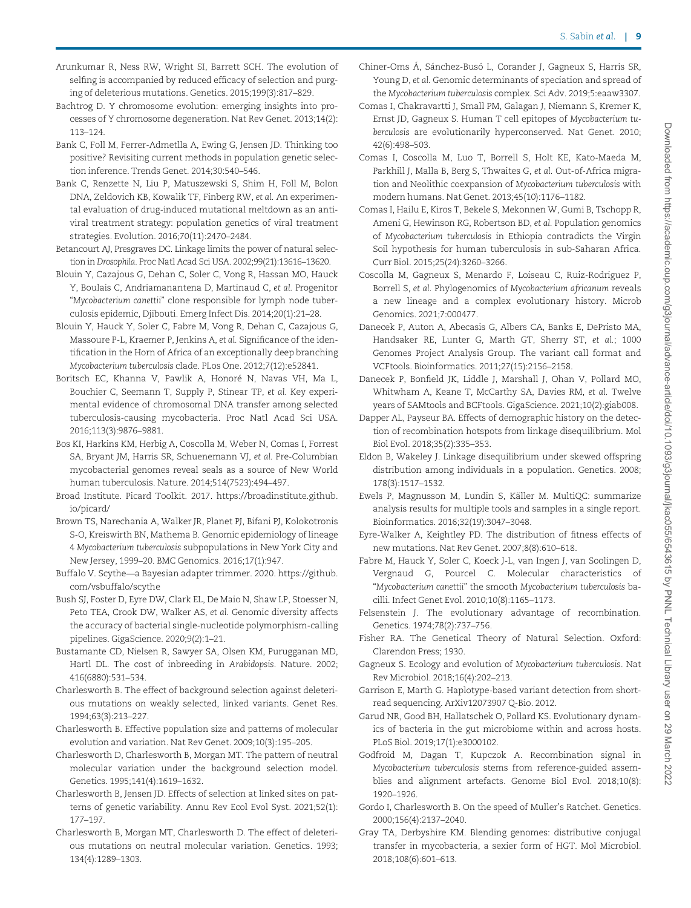- <span id="page-8-0"></span>Arunkumar R, Ness RW, Wright SI, Barrett SCH. The evolution of selfing is accompanied by reduced efficacy of selection and purging of deleterious mutations. Genetics. 2015;199(3):817–829.
- Bachtrog D. Y chromosome evolution: emerging insights into processes of Y chromosome degeneration. Nat Rev Genet. 2013;14(2): 113–124.
- Bank C, Foll M, Ferrer-Admetlla A, Ewing G, Jensen JD. Thinking too positive? Revisiting current methods in population genetic selection inference. Trends Genet. 2014;30:540–546.
- Bank C, Renzette N, Liu P, Matuszewski S, Shim H, Foll M, Bolon DNA, Zeldovich KB, Kowalik TF, Finberg RW, et al. An experimental evaluation of drug-induced mutational meltdown as an antiviral treatment strategy: population genetics of viral treatment strategies. Evolution. 2016;70(11):2470–2484.
- Betancourt AJ, Presgraves DC. Linkage limits the power of natural selection in Drosophila. Proc Natl Acad Sci USA. 2002;99(21):13616–13620.
- Blouin Y, Cazajous G, Dehan C, Soler C, Vong R, Hassan MO, Hauck Y, Boulais C, Andriamanantena D, Martinaud C, et al. Progenitor "Mycobacterium canettii" clone responsible for lymph node tuberculosis epidemic, Djibouti. Emerg Infect Dis. 2014;20(1):21–28.
- Blouin Y, Hauck Y, Soler C, Fabre M, Vong R, Dehan C, Cazajous G, Massoure P-L, Kraemer P, Jenkins A, et al. Significance of the identification in the Horn of Africa of an exceptionally deep branching Mycobacterium tuberculosis clade. PLos One. 2012;7(12):e52841.
- Boritsch EC, Khanna V, Pawlik A, Honoré N, Navas VH, Ma L, Bouchier C, Seemann T, Supply P, Stinear TP, et al. Key experimental evidence of chromosomal DNA transfer among selected tuberculosis-causing mycobacteria. Proc Natl Acad Sci USA. 2016;113(3):9876–9881.
- Bos KI, Harkins KM, Herbig A, Coscolla M, Weber N, Comas I, Forrest SA, Bryant JM, Harris SR, Schuenemann VJ, et al. Pre-Columbian mycobacterial genomes reveal seals as a source of New World human tuberculosis. Nature. 2014;514(7523):494–497.
- Broad Institute. Picard Toolkit. 2017. [https://broadinstitute.github.](https://broadinstitute.github.io/picard/) [io/picard/](https://broadinstitute.github.io/picard/)
- Brown TS, Narechania A, Walker JR, Planet PJ, Bifani PJ, Kolokotronis S-O, Kreiswirth BN, Mathema B. Genomic epidemiology of lineage 4 Mycobacterium tuberculosis subpopulations in New York City and New Jersey, 1999–20. BMC Genomics. 2016;17(1):947.
- Buffalo V. Scythe—a Bayesian adapter trimmer. 2020. [https://github.](https://github.com/vsbuffalo/scythe ) [com/vsbuffalo/scythe](https://github.com/vsbuffalo/scythe )
- Bush SJ, Foster D, Eyre DW, Clark EL, De Maio N, Shaw LP, Stoesser N, Peto TEA, Crook DW, Walker AS, et al. Genomic diversity affects the accuracy of bacterial single-nucleotide polymorphism-calling pipelines. GigaScience. 2020;9(2):1–21.
- Bustamante CD, Nielsen R, Sawyer SA, Olsen KM, Purugganan MD, Hartl DL. The cost of inbreeding in Arabidopsis. Nature. 2002; 416(6880):531–534.
- Charlesworth B. The effect of background selection against deleterious mutations on weakly selected, linked variants. Genet Res. 1994;63(3):213–227.
- Charlesworth B. Effective population size and patterns of molecular evolution and variation. Nat Rev Genet. 2009;10(3):195–205.
- Charlesworth D, Charlesworth B, Morgan MT. The pattern of neutral molecular variation under the background selection model. Genetics. 1995;141(4):1619–1632.
- Charlesworth B, Jensen JD. Effects of selection at linked sites on patterns of genetic variability. Annu Rev Ecol Evol Syst. 2021;52(1): 177–197.
- Charlesworth B, Morgan MT, Charlesworth D. The effect of deleterious mutations on neutral molecular variation. Genetics. 1993; 134(4):1289–1303.
- Chiner-Oms Á, Sánchez-Busó L, Corander J, Gagneux S, Harris SR, Young D, et al. Genomic determinants of speciation and spread of the Mycobacterium tuberculosis complex. Sci Adv. 2019;5:eaaw3307.
- Comas I, Chakravartti J, Small PM, Galagan J, Niemann S, Kremer K, Ernst JD, Gagneux S. Human T cell epitopes of Mycobacterium tuberculosis are evolutionarily hyperconserved. Nat Genet. 2010; 42(6):498–503.
- Comas I, Coscolla M, Luo T, Borrell S, Holt KE, Kato-Maeda M, Parkhill J, Malla B, Berg S, Thwaites G, et al. Out-of-Africa migration and Neolithic coexpansion of Mycobacterium tuberculosis with modern humans. Nat Genet. 2013;45(10):1176–1182.
- Comas I, Hailu E, Kiros T, Bekele S, Mekonnen W, Gumi B, Tschopp R, Ameni G, Hewinson RG, Robertson BD, et al. Population genomics of Mycobacterium tuberculosis in Ethiopia contradicts the Virgin Soil hypothesis for human tuberculosis in sub-Saharan Africa. Curr Biol. 2015;25(24):3260–3266.
- Coscolla M, Gagneux S, Menardo F, Loiseau C, Ruiz-Rodriguez P, Borrell S, et al. Phylogenomics of Mycobacterium africanum reveals a new lineage and a complex evolutionary history. Microb Genomics. 2021;7:000477.
- Danecek P, Auton A, Abecasis G, Albers CA, Banks E, DePristo MA, Handsaker RE, Lunter G, Marth GT, Sherry ST, et al.; 1000 Genomes Project Analysis Group. The variant call format and VCFtools. Bioinformatics. 2011;27(15):2156–2158.
- Danecek P, Bonfield JK, Liddle J, Marshall J, Ohan V, Pollard MO, Whitwham A, Keane T, McCarthy SA, Davies RM, et al. Twelve years of SAMtools and BCFtools. GigaScience. 2021;10(2):giab008.
- Dapper AL, Payseur BA. Effects of demographic history on the detection of recombination hotspots from linkage disequilibrium. Mol Biol Evol. 2018;35(2):335–353.
- Eldon B, Wakeley J. Linkage disequilibrium under skewed offspring distribution among individuals in a population. Genetics. 2008; 178(3):1517–1532.
- Ewels P, Magnusson M, Lundin S, Käller M. MultiQC: summarize analysis results for multiple tools and samples in a single report. Bioinformatics. 2016;32(19):3047–3048.
- Eyre-Walker A, Keightley PD. The distribution of fitness effects of new mutations. Nat Rev Genet. 2007;8(8):610–618.
- Fabre M, Hauck Y, Soler C, Koeck J-L, van Ingen J, van Soolingen D, Vergnaud G, Pourcel C. Molecular characteristics of "Mycobacterium canettii" the smooth Mycobacterium tuberculosis bacilli. Infect Genet Evol. 2010;10(8):1165–1173.
- Felsenstein J. The evolutionary advantage of recombination. Genetics. 1974;78(2):737–756.
- Fisher RA. The Genetical Theory of Natural Selection. Oxford: Clarendon Press; 1930.
- Gagneux S. Ecology and evolution of Mycobacterium tuberculosis. Nat Rev Microbiol. 2018;16(4):202–213.
- Garrison E, Marth G. Haplotype-based variant detection from shortread sequencing. ArXiv12073907 Q-Bio. 2012.
- Garud NR, Good BH, Hallatschek O, Pollard KS. Evolutionary dynamics of bacteria in the gut microbiome within and across hosts. PLoS Biol. 2019;17(1):e3000102.
- Godfroid M, Dagan T, Kupczok A. Recombination signal in Mycobacterium tuberculosis stems from reference-guided assemblies and alignment artefacts. Genome Biol Evol. 2018;10(8): 1920–1926.
- Gordo I, Charlesworth B. On the speed of Muller's Ratchet. Genetics. 2000;156(4):2137–2040.
- Gray TA, Derbyshire KM. Blending genomes: distributive conjugal transfer in mycobacteria, a sexier form of HGT. Mol Microbiol. 2018;108(6):601–613.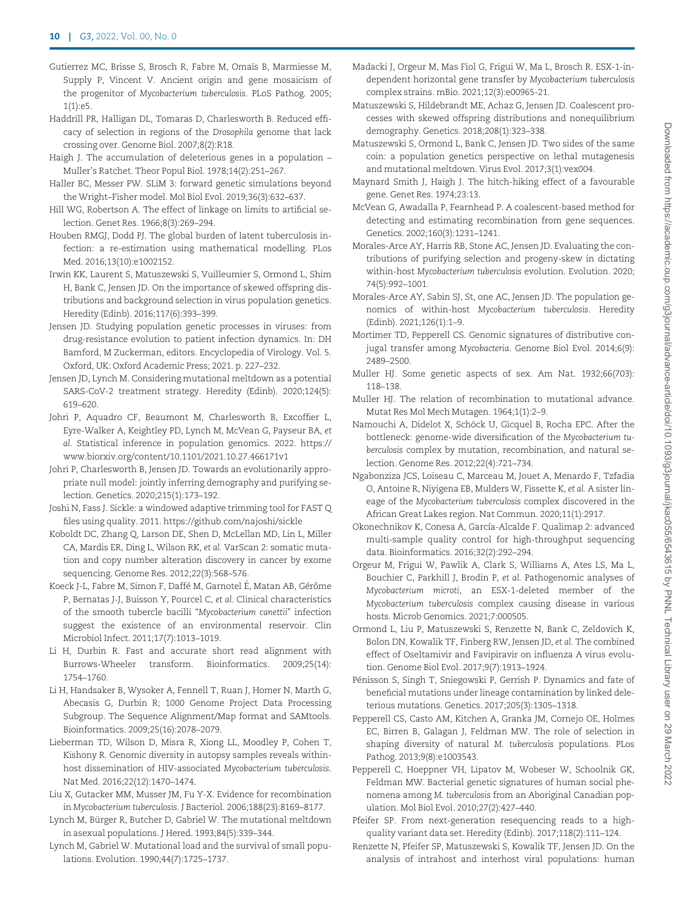- <span id="page-9-0"></span>Gutierrez MC, Brisse S, Brosch R, Fabre M, Omaïs B, Marmiesse M, Supply P, Vincent V. Ancient origin and gene mosaicism of the progenitor of Mycobacterium tuberculosis. PLoS Pathog. 2005; 1(1):e5.
- Haddrill PR, Halligan DL, Tomaras D, Charlesworth B. Reduced efficacy of selection in regions of the Drosophila genome that lack crossing over. Genome Biol. 2007;8(2):R18.
- Haigh J. The accumulation of deleterious genes in a population Muller's Ratchet. Theor Popul Biol. 1978;14(2):251–267.
- Haller BC, Messer PW. SLiM 3: forward genetic simulations beyond the Wright–Fisher model. Mol Biol Evol. 2019;36(3):632–637.
- Hill WG, Robertson A. The effect of linkage on limits to artificial selection. Genet Res. 1966;8(3):269–294.
- Houben RMGJ, Dodd PJ. The global burden of latent tuberculosis infection: a re-estimation using mathematical modelling. PLos Med. 2016;13(10):e1002152.
- Irwin KK, Laurent S, Matuszewski S, Vuilleumier S, Ormond L, Shim H, Bank C, Jensen JD. On the importance of skewed offspring distributions and background selection in virus population genetics. Heredity (Edinb). 2016;117(6):393–399.
- Jensen JD. Studying population genetic processes in viruses: from drug-resistance evolution to patient infection dynamics. In: DH Bamford, M Zuckerman, editors. Encyclopedia of Virology. Vol. 5. Oxford, UK: Oxford Academic Press; 2021. p. 227–232.
- Jensen JD, Lynch M. Considering mutational meltdown as a potential SARS-CoV-2 treatment strategy. Heredity (Edinb). 2020;124(5): 619–620.
- Johri P, Aquadro CF, Beaumont M, Charlesworth B, Excoffier L, Eyre-Walker A, Keightley PD, Lynch M, McVean G, Payseur BA, et al. Statistical inference in population genomics. 2022. [https://](https://www.biorxiv.org/content/10.1101/2021.10.27.466171v1) [www.biorxiv.org/content/10.1101/2021.10.27.466171v1](https://www.biorxiv.org/content/10.1101/2021.10.27.466171v1)
- Johri P, Charlesworth B, Jensen JD. Towards an evolutionarily appropriate null model: jointly inferring demography and purifying selection. Genetics. 2020;215(1):173–192.
- Joshi N, Fass J. Sickle: a windowed adaptive trimming tool for FAST Q files using quality. 2011.<https://github.com/najoshi/sickle>
- Koboldt DC, Zhang Q, Larson DE, Shen D, McLellan MD, Lin L, Miller CA, Mardis ER, Ding L, Wilson RK, et al. VarScan 2: somatic mutation and copy number alteration discovery in cancer by exome sequencing. Genome Res. 2012;22(3):568–576.
- Koeck J-L, Fabre M, Simon F, Daffé M, Garnotel É, Matan AB, Gérôme P, Bernatas J-J, Buisson Y, Pourcel C, et al. Clinical characteristics of the smooth tubercle bacilli "Mycobacterium canettii" infection suggest the existence of an environmental reservoir. Clin Microbiol Infect. 2011;17(7):1013–1019.
- Li H, Durbin R. Fast and accurate short read alignment with Burrows-Wheeler transform. Bioinformatics. 2009;25(14): 1754–1760.
- Li H, Handsaker B, Wysoker A, Fennell T, Ruan J, Homer N, Marth G, Abecasis G, Durbin R; 1000 Genome Project Data Processing Subgroup. The Sequence Alignment/Map format and SAMtools. Bioinformatics. 2009;25(16):2078–2079.
- Lieberman TD, Wilson D, Misra R, Xiong LL, Moodley P, Cohen T, Kishony R. Genomic diversity in autopsy samples reveals withinhost dissemination of HIV-associated Mycobacterium tuberculosis. Nat Med. 2016;22(12):1470–1474.
- Liu X, Gutacker MM, Musser JM, Fu Y-X. Evidence for recombination in Mycobacterium tuberculosis. J Bacteriol. 2006;188(23):8169–8177.
- Lynch M, Bürger R, Butcher D, Gabriel W. The mutational meltdown in asexual populations. J Hered. 1993;84(5):339–344.
- Lynch M, Gabriel W. Mutational load and the survival of small populations. Evolution. 1990;44(7):1725–1737.
- Madacki J, Orgeur M, Mas Fiol G, Frigui W, Ma L, Brosch R. ESX-1-independent horizontal gene transfer by Mycobacterium tuberculosis complex strains. mBio. 2021;12(3):e00965-21.
- Matuszewski S, Hildebrandt ME, Achaz G, Jensen JD. Coalescent processes with skewed offspring distributions and nonequilibrium demography. Genetics. 2018;208(1):323–338.
- Matuszewski S, Ormond L, Bank C, Jensen JD. Two sides of the same coin: a population genetics perspective on lethal mutagenesis and mutational meltdown. Virus Evol. 2017;3(1):vex004.
- Maynard Smith J, Haigh J. The hitch-hiking effect of a favourable gene. Genet Res. 1974;23:13.
- McVean G, Awadalla P, Fearnhead P. A coalescent-based method for detecting and estimating recombination from gene sequences. Genetics. 2002;160(3):1231–1241.
- Morales-Arce AY, Harris RB, Stone AC, Jensen JD. Evaluating the contributions of purifying selection and progeny-skew in dictating within-host Mycobacterium tuberculosis evolution. Evolution. 2020; 74(5):992–1001.
- Morales-Arce AY, Sabin SJ, St, one AC, Jensen JD. The population genomics of within-host Mycobacterium tuberculosis. Heredity (Edinb). 2021;126(1):1–9.
- Mortimer TD, Pepperell CS. Genomic signatures of distributive conjugal transfer among Mycobacteria. Genome Biol Evol. 2014;6(9): 2489–2500.
- Muller HJ. Some genetic aspects of sex. Am Nat. 1932;66(703): 118–138.
- Muller HJ. The relation of recombination to mutational advance. Mutat Res Mol Mech Mutagen. 1964;1(1):2–9.
- Namouchi A, Didelot X, Schöck U, Gicquel B, Rocha EPC. After the bottleneck: genome-wide diversification of the Mycobacterium tuberculosis complex by mutation, recombination, and natural selection. Genome Res. 2012;22(4):721–734.
- Ngabonziza JCS, Loiseau C, Marceau M, Jouet A, Menardo F, Tzfadia O, Antoine R, Niyigena EB, Mulders W, Fissette K, et al. A sister lineage of the Mycobacterium tuberculosis complex discovered in the African Great Lakes region. Nat Commun. 2020;11(1):2917.
- Okonechnikov K, Conesa A, García-Alcalde F. Qualimap 2: advanced multi-sample quality control for high-throughput sequencing data. Bioinformatics. 2016;32(2):292–294.
- Orgeur M, Frigui W, Pawlik A, Clark S, Williams A, Ates LS, Ma L, Bouchier C, Parkhill J, Brodin P, et al. Pathogenomic analyses of Mycobacterium microti, an ESX-1-deleted member of the Mycobacterium tuberculosis complex causing disease in various hosts. Microb Genomics. 2021;7:000505.
- Ormond L, Liu P, Matuszewski S, Renzette N, Bank C, Zeldovich K, Bolon DN, Kowalik TF, Finberg RW, Jensen JD, et al. The combined effect of Oseltamivir and Favipiravir on influenza A virus evolution. Genome Biol Evol. 2017;9(7):1913–1924.
- Pénisson S, Singh T, Sniegowski P, Gerrish P. Dynamics and fate of beneficial mutations under lineage contamination by linked deleterious mutations. Genetics. 2017;205(3):1305–1318.
- Pepperell CS, Casto AM, Kitchen A, Granka JM, Cornejo OE, Holmes EC, Birren B, Galagan J, Feldman MW. The role of selection in shaping diversity of natural M. tuberculosis populations. PLos Pathog. 2013;9(8):e1003543.
- Pepperell C, Hoeppner VH, Lipatov M, Wobeser W, Schoolnik GK, Feldman MW. Bacterial genetic signatures of human social phenomena among M. tuberculosis from an Aboriginal Canadian population. Mol Biol Evol. 2010;27(2):427–440.
- Pfeifer SP. From next-generation resequencing reads to a highquality variant data set. Heredity (Edinb). 2017;118(2):111–124.
- Renzette N, Pfeifer SP, Matuszewski S, Kowalik TF, Jensen JD. On the analysis of intrahost and interhost viral populations: human